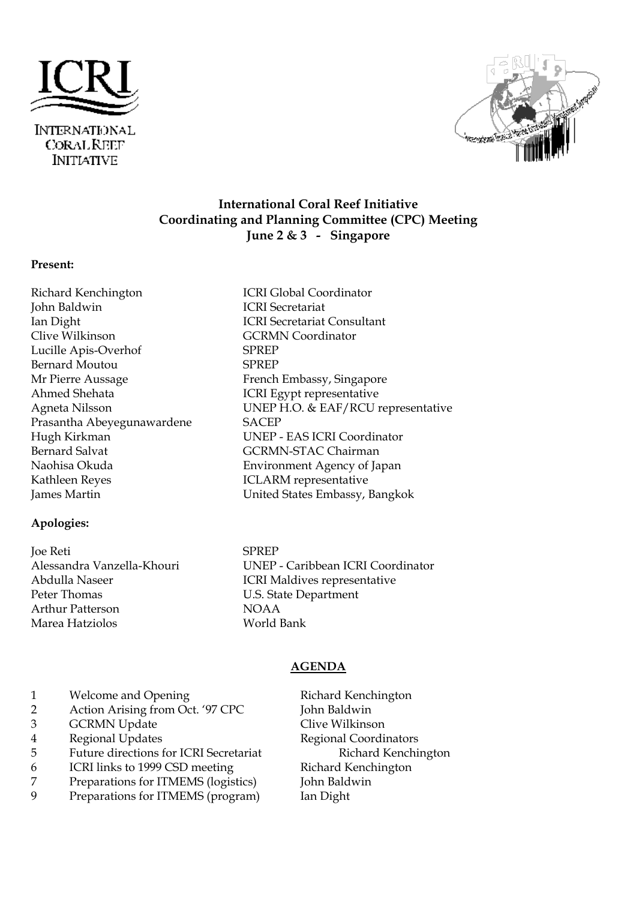



# **International Coral Reef Initiative Coordinating and Planning Committee (CPC) Meeting June 2 & 3 - Singapore**

#### **Present:**

Richard Kenchington ICRI Global Coordinator John Baldwin ICRI Secretariat Ian Dight ICRI Secretariat Consultant<br>
Clive Wilkinson<br>
CGCRMN Coordinator Lucille Apis-Overhof SPREP Bernard Moutou SPREP Mr Pierre Aussage French Embassy, Singapore Ahmed Shehata ICRI Egypt representative<br>Agneta Nilsson UNEP H.O. & EAF/RCU r Prasantha Abeyegunawardene SACEP Hugh Kirkman UNEP - EAS ICRI Coordinator Bernard Salvat GCRMN-STAC Chairman Naohisa Okuda Environment Agency of Japan Kathleen Reyes **ICLARM** representative James Martin United States Embassy, Bangkok

#### **Apologies:**

Joe Reti SPREP Peter Thomas **U.S.** State Department Arthur Patterson NOAA Marea Hatziolos World Bank

GCRMN Coordinator UNEP H.O. & EAF/RCU representative

Alessandra Vanzella-Khouri UNEP - Caribbean ICRI Coordinator<br>
ICRI Maldives representative ICRI Maldives representative

#### **AGENDA**

- 1 Welcome and Opening Richard Kenchington<br>
2 Action Arising from Oct. '97 CPC John Baldwin
- 2 Action Arising from Oct. '97 CPC
- 3 GCRMN Update Clive Wilkinson
- 4 Regional Updates Regional Coordinators
- 5 Future directions for ICRI Secretariat Richard Kenchington
- 6 ICRI links to 1999 CSD meeting Richard Kenchington
- 7 Preparations for ITMEMS (logistics) John Baldwin
- 9 Preparations for ITMEMS (program) Ian Dight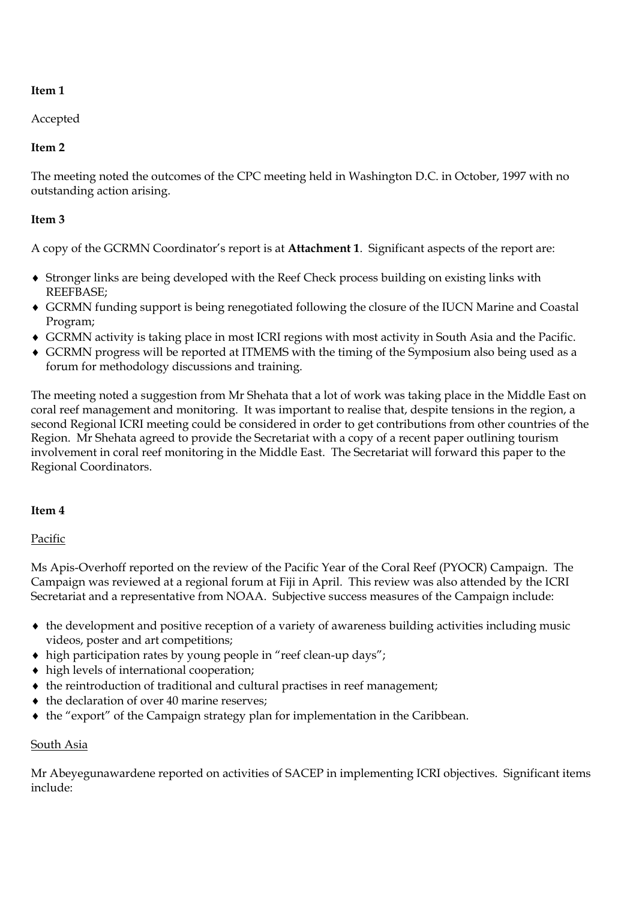# **Item 1**

# Accepted

# **Item 2**

The meeting noted the outcomes of the CPC meeting held in Washington D.C. in October, 1997 with no outstanding action arising.

## **Item 3**

A copy of the GCRMN Coordinator's report is at **Attachment 1**. Significant aspects of the report are:

- Stronger links are being developed with the Reef Check process building on existing links with REEFBASE;
- GCRMN funding support is being renegotiated following the closure of the IUCN Marine and Coastal Program;
- GCRMN activity is taking place in most ICRI regions with most activity in South Asia and the Pacific.
- GCRMN progress will be reported at ITMEMS with the timing of the Symposium also being used as a forum for methodology discussions and training.

The meeting noted a suggestion from Mr Shehata that a lot of work was taking place in the Middle East on coral reef management and monitoring. It was important to realise that, despite tensions in the region, a second Regional ICRI meeting could be considered in order to get contributions from other countries of the Region. Mr Shehata agreed to provide the Secretariat with a copy of a recent paper outlining tourism involvement in coral reef monitoring in the Middle East. The Secretariat will forward this paper to the Regional Coordinators.

## **Item 4**

## Pacific

Ms Apis-Overhoff reported on the review of the Pacific Year of the Coral Reef (PYOCR) Campaign. The Campaign was reviewed at a regional forum at Fiji in April. This review was also attended by the ICRI Secretariat and a representative from NOAA. Subjective success measures of the Campaign include:

- the development and positive reception of a variety of awareness building activities including music videos, poster and art competitions;
- high participation rates by young people in "reef clean-up days";
- high levels of international cooperation;
- $\triangle$  the reintroduction of traditional and cultural practises in reef management;
- $\triangleleft$  the declaration of over 40 marine reserves;
- the "export" of the Campaign strategy plan for implementation in the Caribbean.

## South Asia

Mr Abeyegunawardene reported on activities of SACEP in implementing ICRI objectives. Significant items include: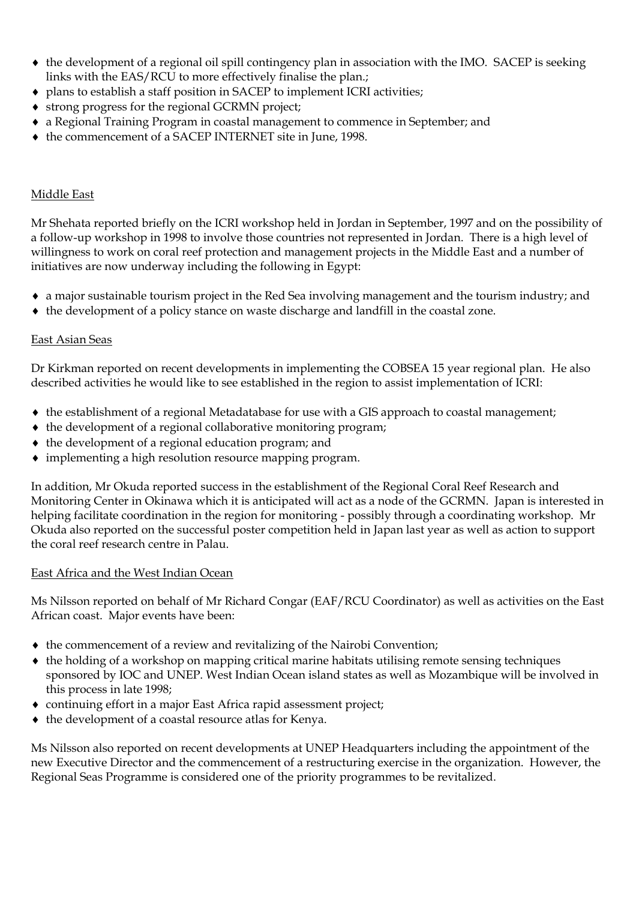- the development of a regional oil spill contingency plan in association with the IMO. SACEP is seeking links with the EAS/RCU to more effectively finalise the plan.;
- plans to establish a staff position in SACEP to implement ICRI activities;
- strong progress for the regional GCRMN project;
- a Regional Training Program in coastal management to commence in September; and
- the commencement of a SACEP INTERNET site in June, 1998.

#### Middle East

Mr Shehata reported briefly on the ICRI workshop held in Jordan in September, 1997 and on the possibility of a follow-up workshop in 1998 to involve those countries not represented in Jordan. There is a high level of willingness to work on coral reef protection and management projects in the Middle East and a number of initiatives are now underway including the following in Egypt:

- a major sustainable tourism project in the Red Sea involving management and the tourism industry; and
- $\bullet$  the development of a policy stance on waste discharge and landfill in the coastal zone.

#### East Asian Seas

Dr Kirkman reported on recent developments in implementing the COBSEA 15 year regional plan. He also described activities he would like to see established in the region to assist implementation of ICRI:

- the establishment of a regional Metadatabase for use with a GIS approach to coastal management;
- $\bullet$  the development of a regional collaborative monitoring program;
- $\bullet$  the development of a regional education program; and
- implementing a high resolution resource mapping program.

In addition, Mr Okuda reported success in the establishment of the Regional Coral Reef Research and Monitoring Center in Okinawa which it is anticipated will act as a node of the GCRMN. Japan is interested in helping facilitate coordination in the region for monitoring - possibly through a coordinating workshop. Mr Okuda also reported on the successful poster competition held in Japan last year as well as action to support the coral reef research centre in Palau.

#### East Africa and the West Indian Ocean

Ms Nilsson reported on behalf of Mr Richard Congar (EAF/RCU Coordinator) as well as activities on the East African coast. Major events have been:

- the commencement of a review and revitalizing of the Nairobi Convention;
- the holding of a workshop on mapping critical marine habitats utilising remote sensing techniques sponsored by IOC and UNEP. West Indian Ocean island states as well as Mozambique will be involved in this process in late 1998;
- continuing effort in a major East Africa rapid assessment project;
- $\bullet$  the development of a coastal resource atlas for Kenya.

Ms Nilsson also reported on recent developments at UNEP Headquarters including the appointment of the new Executive Director and the commencement of a restructuring exercise in the organization. However, the Regional Seas Programme is considered one of the priority programmes to be revitalized.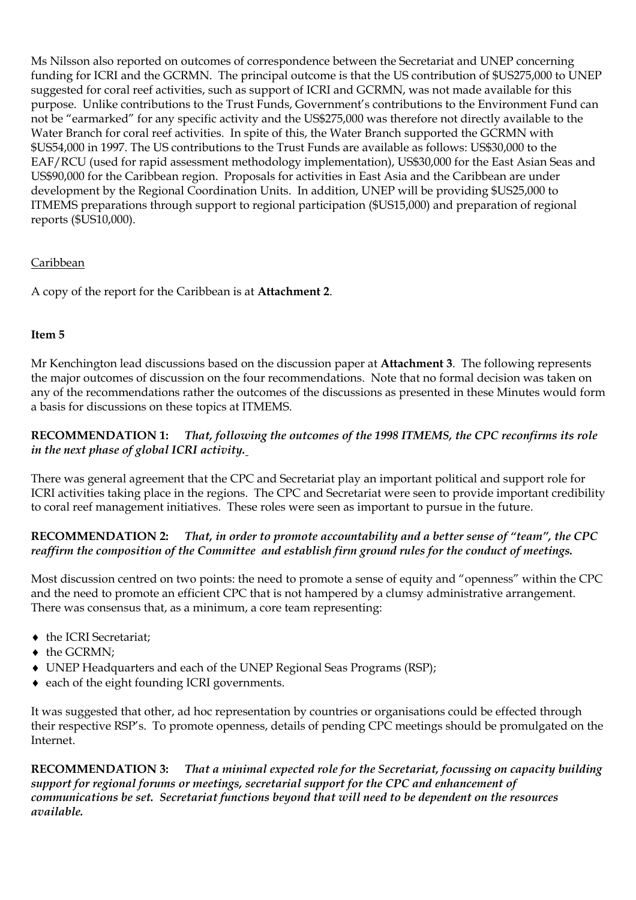Ms Nilsson also reported on outcomes of correspondence between the Secretariat and UNEP concerning funding for ICRI and the GCRMN. The principal outcome is that the US contribution of \$US275,000 to UNEP suggested for coral reef activities, such as support of ICRI and GCRMN, was not made available for this purpose. Unlike contributions to the Trust Funds, Government's contributions to the Environment Fund can not be "earmarked" for any specific activity and the US\$275,000 was therefore not directly available to the Water Branch for coral reef activities. In spite of this, the Water Branch supported the GCRMN with \$US54,000 in 1997. The US contributions to the Trust Funds are available as follows: US\$30,000 to the EAF/RCU (used for rapid assessment methodology implementation), US\$30,000 for the East Asian Seas and US\$90,000 for the Caribbean region. Proposals for activities in East Asia and the Caribbean are under development by the Regional Coordination Units. In addition, UNEP will be providing \$US25,000 to ITMEMS preparations through support to regional participation (\$US15,000) and preparation of regional reports (\$US10,000).

## Caribbean

A copy of the report for the Caribbean is at **Attachment 2**.

## **Item 5**

Mr Kenchington lead discussions based on the discussion paper at **Attachment 3**. The following represents the major outcomes of discussion on the four recommendations. Note that no formal decision was taken on any of the recommendations rather the outcomes of the discussions as presented in these Minutes would form a basis for discussions on these topics at ITMEMS.

**RECOMMENDATION 1:** *That, following the outcomes of the 1998 ITMEMS, the CPC reconfirms its role in the next phase of global ICRI activity.*

There was general agreement that the CPC and Secretariat play an important political and support role for ICRI activities taking place in the regions. The CPC and Secretariat were seen to provide important credibility to coral reef management initiatives. These roles were seen as important to pursue in the future.

## **RECOMMENDATION 2:** *That, in order to promote accountability and a better sense of "team", the CPC reaffirm the composition of the Committee and establish firm ground rules for the conduct of meetings.*

Most discussion centred on two points: the need to promote a sense of equity and "openness" within the CPC and the need to promote an efficient CPC that is not hampered by a clumsy administrative arrangement. There was consensus that, as a minimum, a core team representing:

- $\bullet$  the ICRI Secretariat;
- $\triangleleft$  the GCRMN:
- UNEP Headquarters and each of the UNEP Regional Seas Programs (RSP);
- each of the eight founding ICRI governments.

It was suggested that other, ad hoc representation by countries or organisations could be effected through their respective RSP's. To promote openness, details of pending CPC meetings should be promulgated on the Internet.

**RECOMMENDATION 3:** *That a minimal expected role for the Secretariat, focussing on capacity building support for regional forums or meetings, secretarial support for the CPC and enhancement of communications be set. Secretariat functions beyond that will need to be dependent on the resources available.*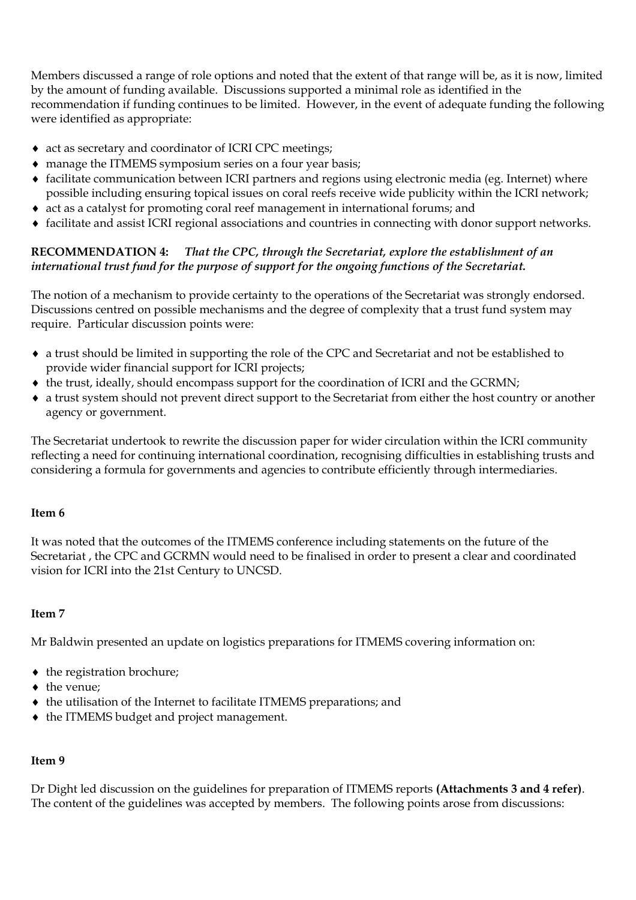Members discussed a range of role options and noted that the extent of that range will be, as it is now, limited by the amount of funding available. Discussions supported a minimal role as identified in the recommendation if funding continues to be limited. However, in the event of adequate funding the following were identified as appropriate:

- act as secretary and coordinator of ICRI CPC meetings;
- manage the ITMEMS symposium series on a four year basis;
- facilitate communication between ICRI partners and regions using electronic media (eg. Internet) where possible including ensuring topical issues on coral reefs receive wide publicity within the ICRI network;
- act as a catalyst for promoting coral reef management in international forums; and
- facilitate and assist ICRI regional associations and countries in connecting with donor support networks.

## **RECOMMENDATION 4:** *That the CPC, through the Secretariat, explore the establishment of an international trust fund for the purpose of support for the ongoing functions of the Secretariat.*

The notion of a mechanism to provide certainty to the operations of the Secretariat was strongly endorsed. Discussions centred on possible mechanisms and the degree of complexity that a trust fund system may require. Particular discussion points were:

- a trust should be limited in supporting the role of the CPC and Secretariat and not be established to provide wider financial support for ICRI projects;
- $\bullet$  the trust, ideally, should encompass support for the coordination of ICRI and the GCRMN;
- a trust system should not prevent direct support to the Secretariat from either the host country or another agency or government.

The Secretariat undertook to rewrite the discussion paper for wider circulation within the ICRI community reflecting a need for continuing international coordination, recognising difficulties in establishing trusts and considering a formula for governments and agencies to contribute efficiently through intermediaries.

#### **Item 6**

It was noted that the outcomes of the ITMEMS conference including statements on the future of the Secretariat , the CPC and GCRMN would need to be finalised in order to present a clear and coordinated vision for ICRI into the 21st Century to UNCSD.

## **Item 7**

Mr Baldwin presented an update on logistics preparations for ITMEMS covering information on:

- the registration brochure;
- the venue:
- the utilisation of the Internet to facilitate ITMEMS preparations; and
- $\bullet$  the ITMEMS budget and project management.

#### **Item 9**

Dr Dight led discussion on the guidelines for preparation of ITMEMS reports **(Attachments 3 and 4 refer)**. The content of the guidelines was accepted by members. The following points arose from discussions: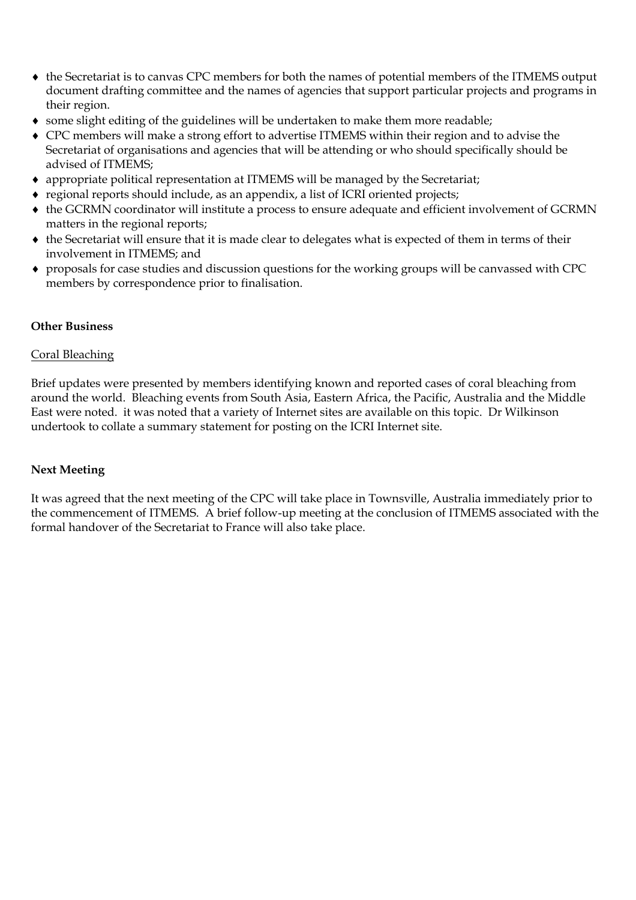- the Secretariat is to canvas CPC members for both the names of potential members of the ITMEMS output document drafting committee and the names of agencies that support particular projects and programs in their region.
- some slight editing of the guidelines will be undertaken to make them more readable;
- CPC members will make a strong effort to advertise ITMEMS within their region and to advise the Secretariat of organisations and agencies that will be attending or who should specifically should be advised of ITMEMS;
- appropriate political representation at ITMEMS will be managed by the Secretariat;
- regional reports should include, as an appendix, a list of ICRI oriented projects;
- the GCRMN coordinator will institute a process to ensure adequate and efficient involvement of GCRMN matters in the regional reports;
- the Secretariat will ensure that it is made clear to delegates what is expected of them in terms of their involvement in ITMEMS; and
- proposals for case studies and discussion questions for the working groups will be canvassed with CPC members by correspondence prior to finalisation.

### **Other Business**

#### Coral Bleaching

Brief updates were presented by members identifying known and reported cases of coral bleaching from around the world. Bleaching events from South Asia, Eastern Africa, the Pacific, Australia and the Middle East were noted. it was noted that a variety of Internet sites are available on this topic. Dr Wilkinson undertook to collate a summary statement for posting on the ICRI Internet site.

#### **Next Meeting**

It was agreed that the next meeting of the CPC will take place in Townsville, Australia immediately prior to the commencement of ITMEMS. A brief follow-up meeting at the conclusion of ITMEMS associated with the formal handover of the Secretariat to France will also take place.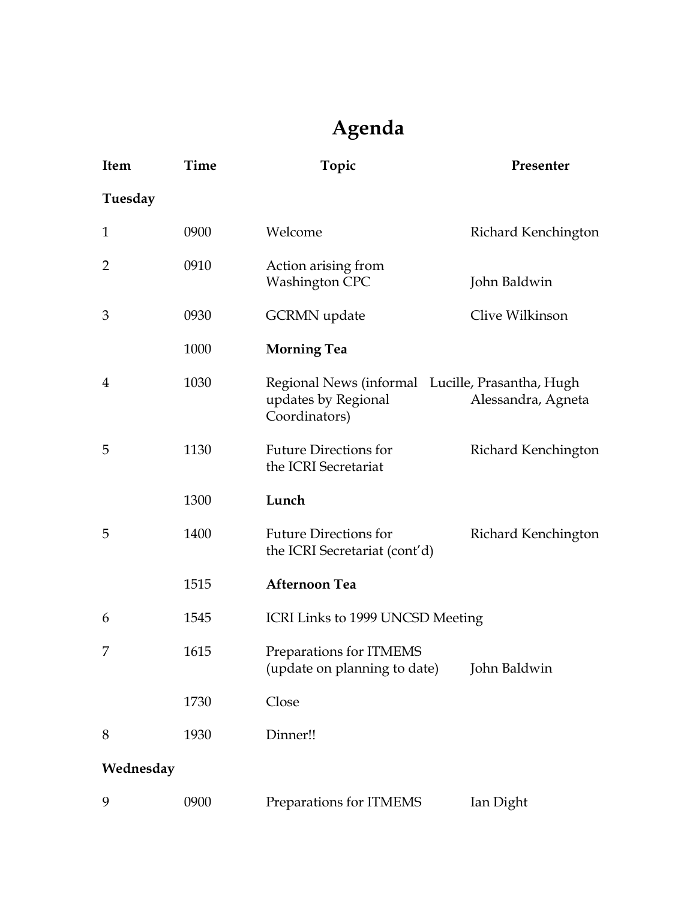# **Agenda**

| <b>Item</b>    | Time | Topic                                                                                    | Presenter           |
|----------------|------|------------------------------------------------------------------------------------------|---------------------|
| Tuesday        |      |                                                                                          |                     |
| $\mathbf 1$    | 0900 | Welcome                                                                                  | Richard Kenchington |
| 2              | 0910 | Action arising from<br><b>Washington CPC</b>                                             | John Baldwin        |
| 3              | 0930 | <b>GCRMN</b> update                                                                      | Clive Wilkinson     |
|                | 1000 | <b>Morning Tea</b>                                                                       |                     |
| $\overline{4}$ | 1030 | Regional News (informal Lucille, Prasantha, Hugh<br>updates by Regional<br>Coordinators) | Alessandra, Agneta  |
| 5              | 1130 | <b>Future Directions for</b><br>the ICRI Secretariat                                     | Richard Kenchington |
|                | 1300 | Lunch                                                                                    |                     |
| 5              | 1400 | <b>Future Directions for</b><br>the ICRI Secretariat (cont'd)                            | Richard Kenchington |
|                | 1515 | <b>Afternoon Tea</b>                                                                     |                     |
| 6              | 1545 | ICRI Links to 1999 UNCSD Meeting                                                         |                     |
| 7              | 1615 | Preparations for ITMEMS<br>(update on planning to date)                                  | John Baldwin        |
|                | 1730 | Close                                                                                    |                     |
| 8              | 1930 | Dinner!!                                                                                 |                     |
| Wednesday      |      |                                                                                          |                     |
| 9              | 0900 | Preparations for ITMEMS                                                                  | Ian Dight           |